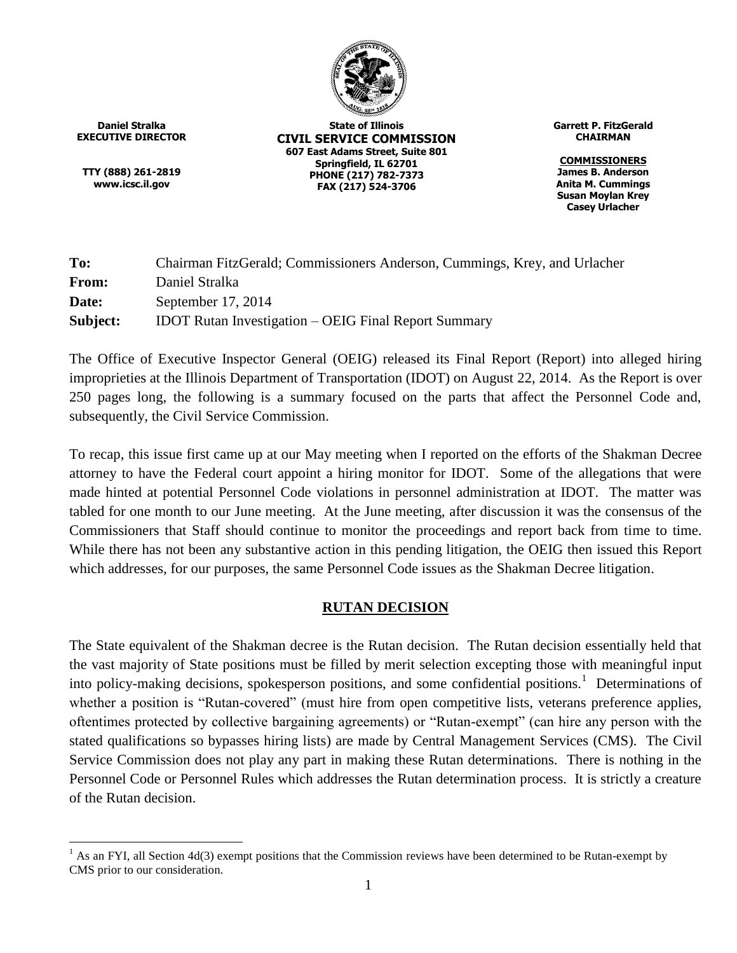

**Daniel Stralka EXECUTIVE DIRECTOR**

**TTY (888) 261-2819 www.icsc.il.gov**

 $\overline{a}$ 

**State of Illinois CIVIL SERVICE COMMISSION 607 East Adams Street, Suite 801 Springfield, IL 62701 PHONE (217) 782-7373 FAX (217) 524-3706**

**Garrett P. FitzGerald CHAIRMAN**

**COMMISSIONERS James B. Anderson Anita M. Cummings Susan Moylan Krey Casey Urlacher**

| To:      | Chairman FitzGerald; Commissioners Anderson, Cummings, Krey, and Urlacher |
|----------|---------------------------------------------------------------------------|
| From:    | Daniel Stralka                                                            |
| Date:    | September $17, 2014$                                                      |
| Subject: | <b>IDOT Rutan Investigation – OEIG Final Report Summary</b>               |

The Office of Executive Inspector General (OEIG) released its Final Report (Report) into alleged hiring improprieties at the Illinois Department of Transportation (IDOT) on August 22, 2014. As the Report is over 250 pages long, the following is a summary focused on the parts that affect the Personnel Code and, subsequently, the Civil Service Commission.

To recap, this issue first came up at our May meeting when I reported on the efforts of the Shakman Decree attorney to have the Federal court appoint a hiring monitor for IDOT. Some of the allegations that were made hinted at potential Personnel Code violations in personnel administration at IDOT. The matter was tabled for one month to our June meeting. At the June meeting, after discussion it was the consensus of the Commissioners that Staff should continue to monitor the proceedings and report back from time to time. While there has not been any substantive action in this pending litigation, the OEIG then issued this Report which addresses, for our purposes, the same Personnel Code issues as the Shakman Decree litigation.

# **RUTAN DECISION**

The State equivalent of the Shakman decree is the Rutan decision. The Rutan decision essentially held that the vast majority of State positions must be filled by merit selection excepting those with meaningful input into policy-making decisions, spokesperson positions, and some confidential positions.<sup>1</sup> Determinations of whether a position is "Rutan-covered" (must hire from open competitive lists, veterans preference applies, oftentimes protected by collective bargaining agreements) or "Rutan-exempt" (can hire any person with the stated qualifications so bypasses hiring lists) are made by Central Management Services (CMS). The Civil Service Commission does not play any part in making these Rutan determinations. There is nothing in the Personnel Code or Personnel Rules which addresses the Rutan determination process. It is strictly a creature of the Rutan decision.

<sup>&</sup>lt;sup>1</sup> As an FYI, all Section 4d(3) exempt positions that the Commission reviews have been determined to be Rutan-exempt by CMS prior to our consideration.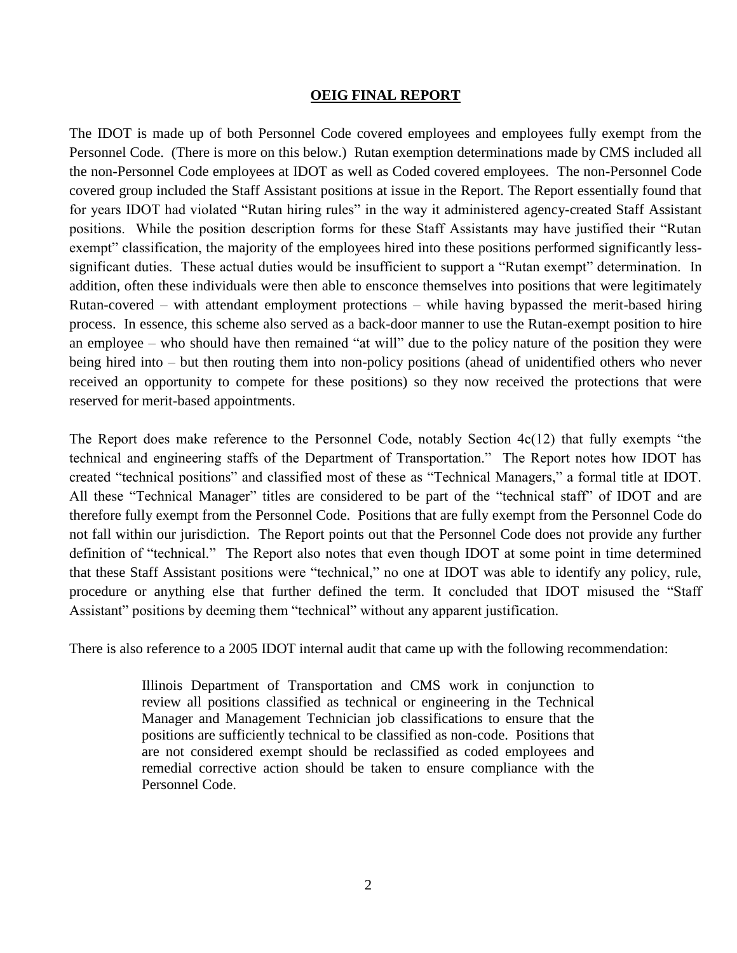#### **OEIG FINAL REPORT**

The IDOT is made up of both Personnel Code covered employees and employees fully exempt from the Personnel Code. (There is more on this below.) Rutan exemption determinations made by CMS included all the non-Personnel Code employees at IDOT as well as Coded covered employees. The non-Personnel Code covered group included the Staff Assistant positions at issue in the Report. The Report essentially found that for years IDOT had violated "Rutan hiring rules" in the way it administered agency-created Staff Assistant positions. While the position description forms for these Staff Assistants may have justified their "Rutan exempt" classification, the majority of the employees hired into these positions performed significantly lesssignificant duties. These actual duties would be insufficient to support a "Rutan exempt" determination. In addition, often these individuals were then able to ensconce themselves into positions that were legitimately Rutan-covered – with attendant employment protections – while having bypassed the merit-based hiring process. In essence, this scheme also served as a back-door manner to use the Rutan-exempt position to hire an employee – who should have then remained "at will" due to the policy nature of the position they were being hired into – but then routing them into non-policy positions (ahead of unidentified others who never received an opportunity to compete for these positions) so they now received the protections that were reserved for merit-based appointments.

The Report does make reference to the Personnel Code, notably Section 4c(12) that fully exempts "the technical and engineering staffs of the Department of Transportation." The Report notes how IDOT has created "technical positions" and classified most of these as "Technical Managers," a formal title at IDOT. All these "Technical Manager" titles are considered to be part of the "technical staff" of IDOT and are therefore fully exempt from the Personnel Code. Positions that are fully exempt from the Personnel Code do not fall within our jurisdiction. The Report points out that the Personnel Code does not provide any further definition of "technical." The Report also notes that even though IDOT at some point in time determined that these Staff Assistant positions were "technical," no one at IDOT was able to identify any policy, rule, procedure or anything else that further defined the term. It concluded that IDOT misused the "Staff Assistant" positions by deeming them "technical" without any apparent justification.

There is also reference to a 2005 IDOT internal audit that came up with the following recommendation:

Illinois Department of Transportation and CMS work in conjunction to review all positions classified as technical or engineering in the Technical Manager and Management Technician job classifications to ensure that the positions are sufficiently technical to be classified as non-code. Positions that are not considered exempt should be reclassified as coded employees and remedial corrective action should be taken to ensure compliance with the Personnel Code.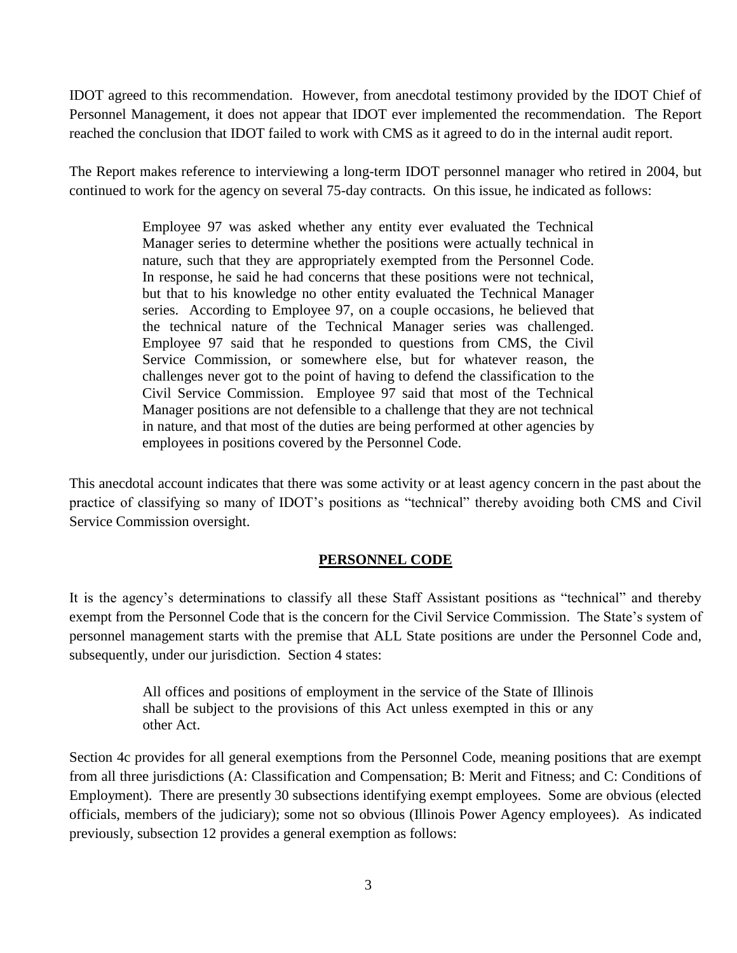IDOT agreed to this recommendation. However, from anecdotal testimony provided by the IDOT Chief of Personnel Management, it does not appear that IDOT ever implemented the recommendation. The Report reached the conclusion that IDOT failed to work with CMS as it agreed to do in the internal audit report.

The Report makes reference to interviewing a long-term IDOT personnel manager who retired in 2004, but continued to work for the agency on several 75-day contracts. On this issue, he indicated as follows:

> Employee 97 was asked whether any entity ever evaluated the Technical Manager series to determine whether the positions were actually technical in nature, such that they are appropriately exempted from the Personnel Code. In response, he said he had concerns that these positions were not technical, but that to his knowledge no other entity evaluated the Technical Manager series. According to Employee 97, on a couple occasions, he believed that the technical nature of the Technical Manager series was challenged. Employee 97 said that he responded to questions from CMS, the Civil Service Commission, or somewhere else, but for whatever reason, the challenges never got to the point of having to defend the classification to the Civil Service Commission. Employee 97 said that most of the Technical Manager positions are not defensible to a challenge that they are not technical in nature, and that most of the duties are being performed at other agencies by employees in positions covered by the Personnel Code.

This anecdotal account indicates that there was some activity or at least agency concern in the past about the practice of classifying so many of IDOT's positions as "technical" thereby avoiding both CMS and Civil Service Commission oversight.

# **PERSONNEL CODE**

It is the agency's determinations to classify all these Staff Assistant positions as "technical" and thereby exempt from the Personnel Code that is the concern for the Civil Service Commission. The State's system of personnel management starts with the premise that ALL State positions are under the Personnel Code and, subsequently, under our jurisdiction. Section 4 states:

> All offices and positions of employment in the service of the State of Illinois shall be subject to the provisions of this Act unless exempted in this or any other Act.

Section 4c provides for all general exemptions from the Personnel Code, meaning positions that are exempt from all three jurisdictions (A: Classification and Compensation; B: Merit and Fitness; and C: Conditions of Employment). There are presently 30 subsections identifying exempt employees. Some are obvious (elected officials, members of the judiciary); some not so obvious (Illinois Power Agency employees). As indicated previously, subsection 12 provides a general exemption as follows: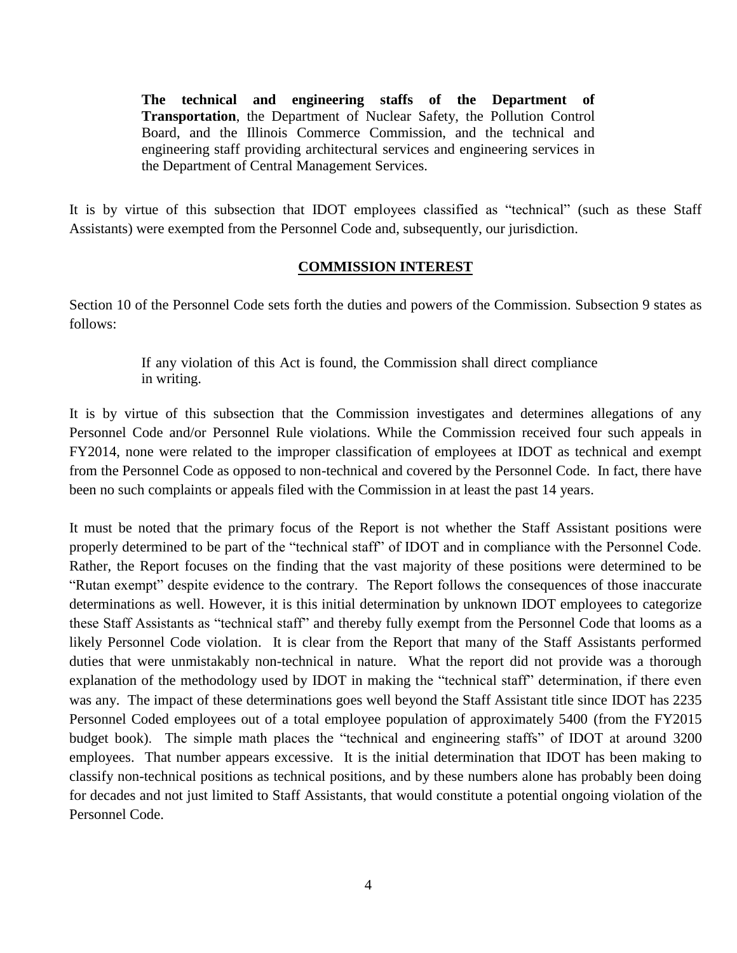**The technical and engineering staffs of the Department of Transportation**, the Department of Nuclear Safety, the Pollution Control Board, and the Illinois Commerce Commission, and the technical and engineering staff providing architectural services and engineering services in the Department of Central Management Services.

It is by virtue of this subsection that IDOT employees classified as "technical" (such as these Staff Assistants) were exempted from the Personnel Code and, subsequently, our jurisdiction.

### **COMMISSION INTEREST**

Section 10 of the Personnel Code sets forth the duties and powers of the Commission. Subsection 9 states as follows:

> If any violation of this Act is found, the Commission shall direct compliance in writing.

It is by virtue of this subsection that the Commission investigates and determines allegations of any Personnel Code and/or Personnel Rule violations. While the Commission received four such appeals in FY2014, none were related to the improper classification of employees at IDOT as technical and exempt from the Personnel Code as opposed to non-technical and covered by the Personnel Code. In fact, there have been no such complaints or appeals filed with the Commission in at least the past 14 years.

It must be noted that the primary focus of the Report is not whether the Staff Assistant positions were properly determined to be part of the "technical staff" of IDOT and in compliance with the Personnel Code. Rather, the Report focuses on the finding that the vast majority of these positions were determined to be "Rutan exempt" despite evidence to the contrary. The Report follows the consequences of those inaccurate determinations as well. However, it is this initial determination by unknown IDOT employees to categorize these Staff Assistants as "technical staff" and thereby fully exempt from the Personnel Code that looms as a likely Personnel Code violation. It is clear from the Report that many of the Staff Assistants performed duties that were unmistakably non-technical in nature. What the report did not provide was a thorough explanation of the methodology used by IDOT in making the "technical staff" determination, if there even was any. The impact of these determinations goes well beyond the Staff Assistant title since IDOT has 2235 Personnel Coded employees out of a total employee population of approximately 5400 (from the FY2015 budget book). The simple math places the "technical and engineering staffs" of IDOT at around 3200 employees. That number appears excessive. It is the initial determination that IDOT has been making to classify non-technical positions as technical positions, and by these numbers alone has probably been doing for decades and not just limited to Staff Assistants, that would constitute a potential ongoing violation of the Personnel Code.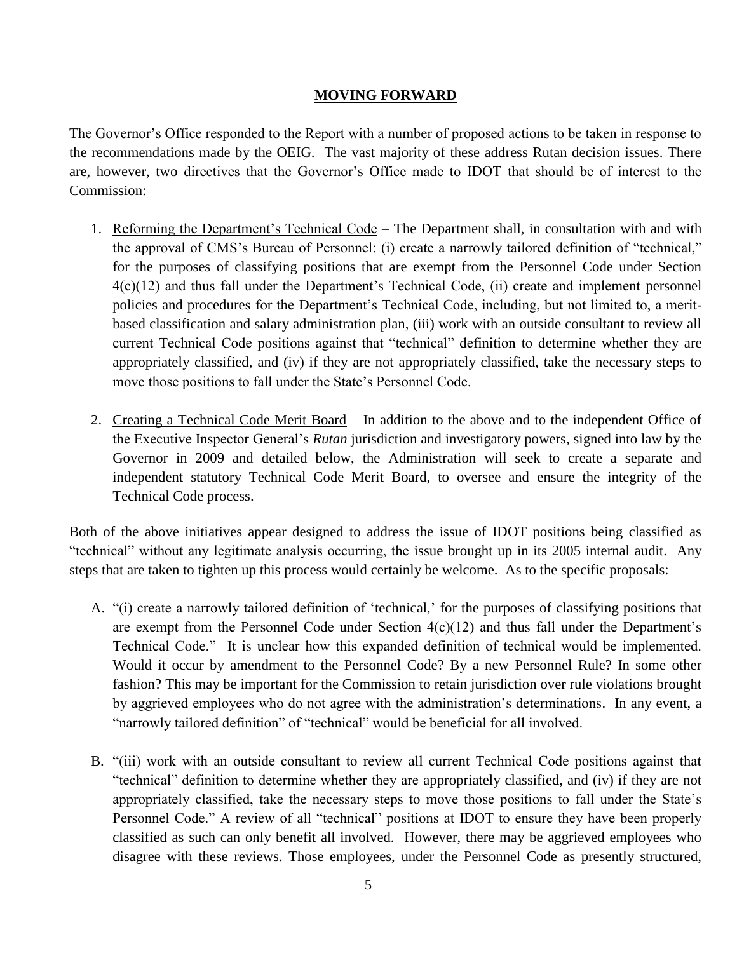### **MOVING FORWARD**

The Governor's Office responded to the Report with a number of proposed actions to be taken in response to the recommendations made by the OEIG. The vast majority of these address Rutan decision issues. There are, however, two directives that the Governor's Office made to IDOT that should be of interest to the Commission:

- 1. Reforming the Department's Technical Code The Department shall, in consultation with and with the approval of CMS's Bureau of Personnel: (i) create a narrowly tailored definition of "technical," for the purposes of classifying positions that are exempt from the Personnel Code under Section 4(c)(12) and thus fall under the Department's Technical Code, (ii) create and implement personnel policies and procedures for the Department's Technical Code, including, but not limited to, a meritbased classification and salary administration plan, (iii) work with an outside consultant to review all current Technical Code positions against that "technical" definition to determine whether they are appropriately classified, and (iv) if they are not appropriately classified, take the necessary steps to move those positions to fall under the State's Personnel Code.
- 2. Creating a Technical Code Merit Board In addition to the above and to the independent Office of the Executive Inspector General's *Rutan* jurisdiction and investigatory powers, signed into law by the Governor in 2009 and detailed below, the Administration will seek to create a separate and independent statutory Technical Code Merit Board, to oversee and ensure the integrity of the Technical Code process.

Both of the above initiatives appear designed to address the issue of IDOT positions being classified as "technical" without any legitimate analysis occurring, the issue brought up in its 2005 internal audit. Any steps that are taken to tighten up this process would certainly be welcome. As to the specific proposals:

- A. "(i) create a narrowly tailored definition of 'technical,' for the purposes of classifying positions that are exempt from the Personnel Code under Section  $4(c)(12)$  and thus fall under the Department's Technical Code." It is unclear how this expanded definition of technical would be implemented. Would it occur by amendment to the Personnel Code? By a new Personnel Rule? In some other fashion? This may be important for the Commission to retain jurisdiction over rule violations brought by aggrieved employees who do not agree with the administration's determinations. In any event, a "narrowly tailored definition" of "technical" would be beneficial for all involved.
- B. "(iii) work with an outside consultant to review all current Technical Code positions against that "technical" definition to determine whether they are appropriately classified, and (iv) if they are not appropriately classified, take the necessary steps to move those positions to fall under the State's Personnel Code." A review of all "technical" positions at IDOT to ensure they have been properly classified as such can only benefit all involved. However, there may be aggrieved employees who disagree with these reviews. Those employees, under the Personnel Code as presently structured,